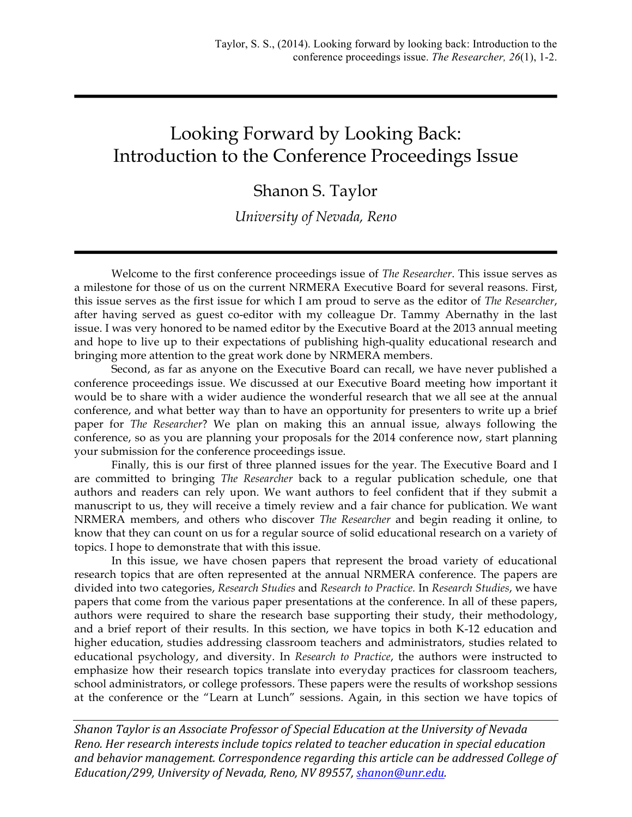## Looking Forward by Looking Back: Introduction to the Conference Proceedings Issue

## Shanon S. Taylor

## *University of Nevada, Reno*

Welcome to the first conference proceedings issue of *The Researcher*. This issue serves as a milestone for those of us on the current NRMERA Executive Board for several reasons. First, this issue serves as the first issue for which I am proud to serve as the editor of *The Researcher*, after having served as guest co-editor with my colleague Dr. Tammy Abernathy in the last issue. I was very honored to be named editor by the Executive Board at the 2013 annual meeting and hope to live up to their expectations of publishing high-quality educational research and bringing more attention to the great work done by NRMERA members.

Second, as far as anyone on the Executive Board can recall, we have never published a conference proceedings issue. We discussed at our Executive Board meeting how important it would be to share with a wider audience the wonderful research that we all see at the annual conference, and what better way than to have an opportunity for presenters to write up a brief paper for *The Researcher*? We plan on making this an annual issue, always following the conference, so as you are planning your proposals for the 2014 conference now, start planning your submission for the conference proceedings issue.

Finally, this is our first of three planned issues for the year. The Executive Board and I are committed to bringing *The Researcher* back to a regular publication schedule, one that authors and readers can rely upon. We want authors to feel confident that if they submit a manuscript to us, they will receive a timely review and a fair chance for publication. We want NRMERA members, and others who discover *The Researcher* and begin reading it online, to know that they can count on us for a regular source of solid educational research on a variety of topics. I hope to demonstrate that with this issue.

In this issue, we have chosen papers that represent the broad variety of educational research topics that are often represented at the annual NRMERA conference. The papers are divided into two categories, *Research Studies* and *Research to Practice.* In *Research Studies*, we have papers that come from the various paper presentations at the conference. In all of these papers, authors were required to share the research base supporting their study, their methodology, and a brief report of their results. In this section, we have topics in both K-12 education and higher education, studies addressing classroom teachers and administrators, studies related to educational psychology, and diversity. In *Research to Practice*, the authors were instructed to emphasize how their research topics translate into everyday practices for classroom teachers, school administrators, or college professors. These papers were the results of workshop sessions at the conference or the "Learn at Lunch" sessions. Again, in this section we have topics of

*Shanon Taylor is an Associate Professor of Special Education at the University of Nevada Reno. Her research interests include topics related to teacher education in special education* and behavior management. Correspondence regarding this article can be addressed College of *Education/299, University of Nevada, Reno, NV 89557, shanon@unr.edu.*